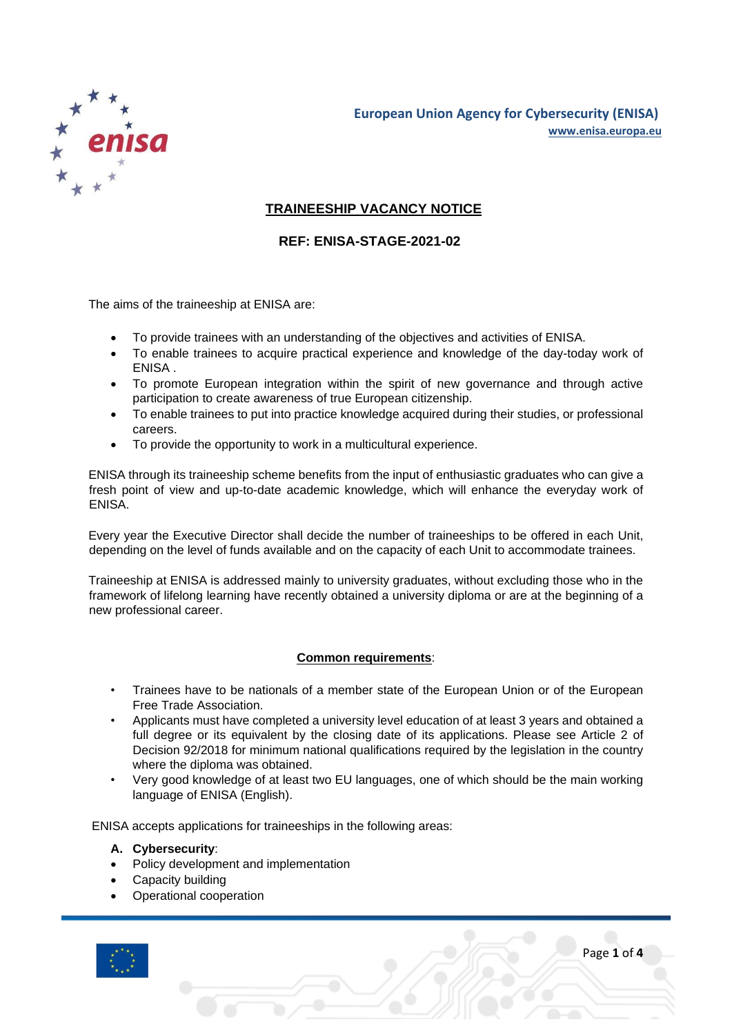

# **TRAINEESHIP VACANCY NOTICE**

# **REF: ENISA-STAGE-2021-02**

The aims of the traineeship at ENISA are:

- To provide trainees with an understanding of the objectives and activities of ENISA.
- To enable trainees to acquire practical experience and knowledge of the day-today work of ENISA .
- To promote European integration within the spirit of new governance and through active participation to create awareness of true European citizenship.
- To enable trainees to put into practice knowledge acquired during their studies, or professional careers.
- To provide the opportunity to work in a multicultural experience.

ENISA through its traineeship scheme benefits from the input of enthusiastic graduates who can give a fresh point of view and up-to-date academic knowledge, which will enhance the everyday work of ENISA.

Every year the Executive Director shall decide the number of traineeships to be offered in each Unit, depending on the level of funds available and on the capacity of each Unit to accommodate trainees.

Traineeship at ENISA is addressed mainly to university graduates, without excluding those who in the framework of lifelong learning have recently obtained a university diploma or are at the beginning of a new professional career.

# **Common requirements**:

- Trainees have to be nationals of a member state of the European Union or of the European Free Trade Association.
- Applicants must have completed a university level education of at least 3 years and obtained a full degree or its equivalent by the closing date of its applications. Please see Article 2 of Decision 92/2018 for minimum national qualifications required by the legislation in the country where the diploma was obtained.
- Very good knowledge of at least two EU languages, one of which should be the main working language of ENISA (English).

ENISA accepts applications for traineeships in the following areas:

# **A. Cybersecurity**:

- Policy development and implementation
- Capacity building
- Operational cooperation

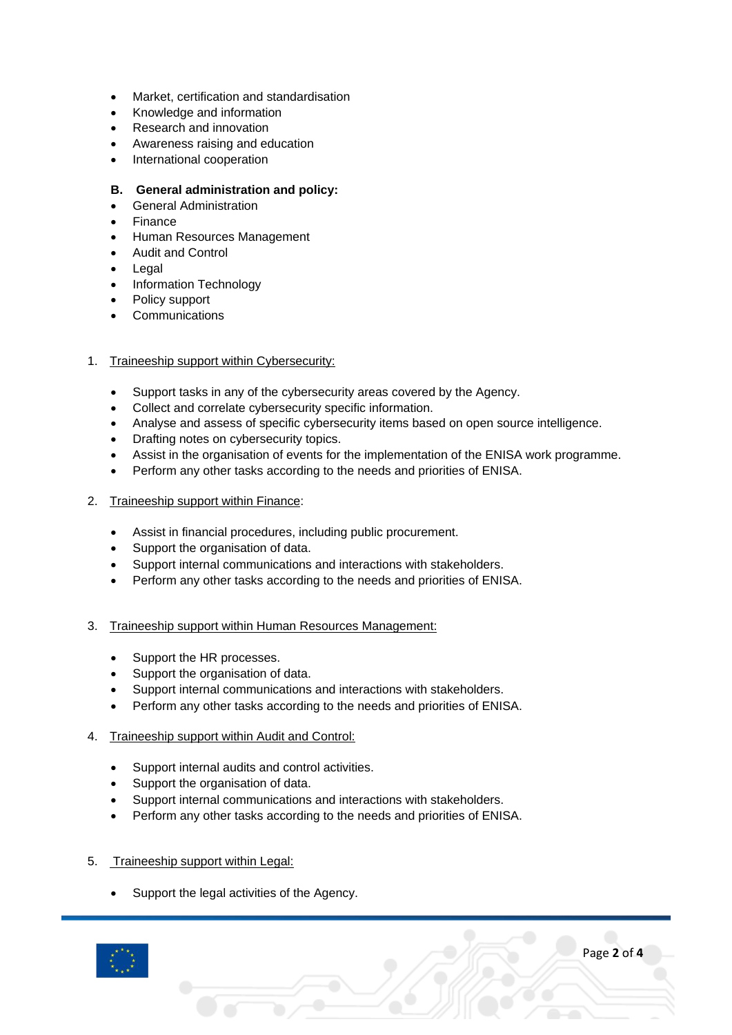- Market, certification and standardisation
- Knowledge and information
- Research and innovation
- Awareness raising and education
- International cooperation

# **B. General administration and policy:**

- General Administration
- Finance
- Human Resources Management
- Audit and Control
- Legal
- Information Technology
- Policy support
- **Communications**

# 1. Traineeship support within Cybersecurity:

- Support tasks in any of the cybersecurity areas covered by the Agency.
- Collect and correlate cybersecurity specific information.
- Analyse and assess of specific cybersecurity items based on open source intelligence.
- Drafting notes on cybersecurity topics.
- Assist in the organisation of events for the implementation of the ENISA work programme.
- Perform any other tasks according to the needs and priorities of ENISA.
- 2. Traineeship support within Finance:
	- Assist in financial procedures, including public procurement.
	- Support the organisation of data.
	- Support internal communications and interactions with stakeholders.
	- Perform any other tasks according to the needs and priorities of ENISA.
- 3. Traineeship support within Human Resources Management:
	- Support the HR processes.
	- Support the organisation of data.
	- Support internal communications and interactions with stakeholders.
	- Perform any other tasks according to the needs and priorities of ENISA.
- 4. Traineeship support within Audit and Control:
	- Support internal audits and control activities.
	- Support the organisation of data.
	- Support internal communications and interactions with stakeholders.
	- Perform any other tasks according to the needs and priorities of ENISA.
- 5. Traineeship support within Legal:
	- Support the legal activities of the Agency.

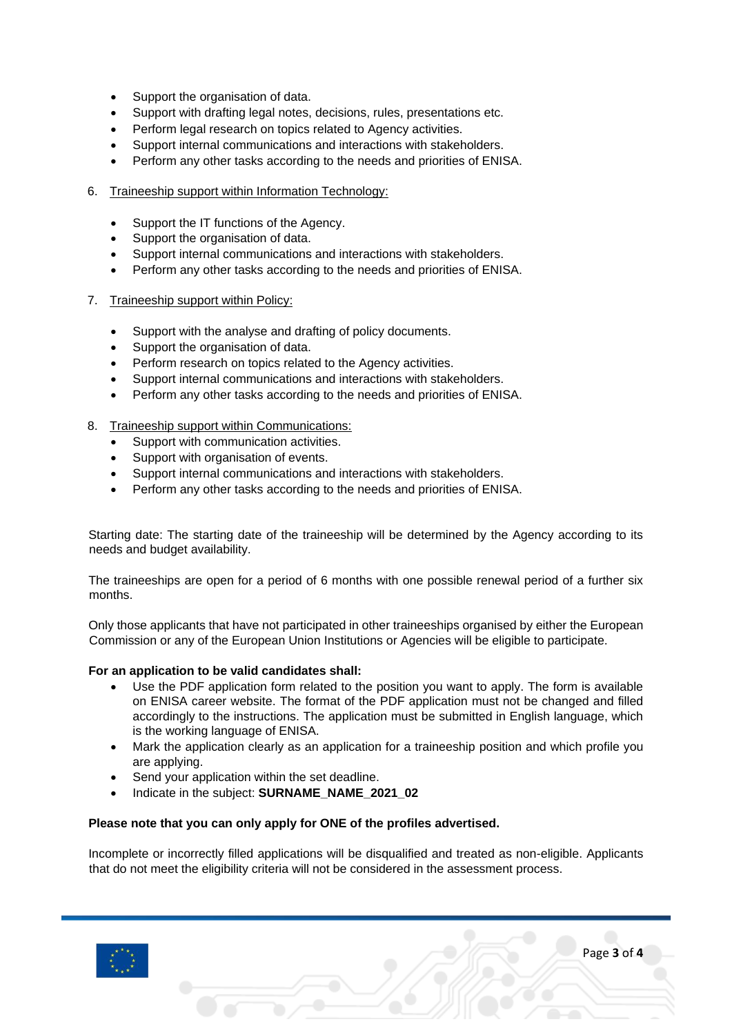- Support the organisation of data.
- Support with drafting legal notes, decisions, rules, presentations etc.
- Perform legal research on topics related to Agency activities.
- Support internal communications and interactions with stakeholders.
- Perform any other tasks according to the needs and priorities of ENISA.
- 6. Traineeship support within Information Technology:
	- Support the IT functions of the Agency.
	- Support the organisation of data.
	- Support internal communications and interactions with stakeholders.
	- Perform any other tasks according to the needs and priorities of ENISA.
- 7. Traineeship support within Policy:
	- Support with the analyse and drafting of policy documents.
	- Support the organisation of data.
	- Perform research on topics related to the Agency activities.
	- Support internal communications and interactions with stakeholders.
	- Perform any other tasks according to the needs and priorities of ENISA.
- 8. Traineeship support within Communications:
	- Support with communication activities.
	- Support with organisation of events.
	- Support internal communications and interactions with stakeholders.
	- Perform any other tasks according to the needs and priorities of ENISA.

Starting date: The starting date of the traineeship will be determined by the Agency according to its needs and budget availability.

The traineeships are open for a period of 6 months with one possible renewal period of a further six months.

Only those applicants that have not participated in other traineeships organised by either the European Commission or any of the European Union Institutions or Agencies will be eligible to participate.

# **For an application to be valid candidates shall:**

- Use the PDF application form related to the position you want to apply. The form is available on ENISA career website. The format of the PDF application must not be changed and filled accordingly to the instructions. The application must be submitted in English language, which is the working language of ENISA.
- Mark the application clearly as an application for a traineeship position and which profile you are applying.
- Send your application within the set deadline.
- Indicate in the subject: **SURNAME\_NAME\_2021\_02**

# **Please note that you can only apply for ONE of the profiles advertised.**

Incomplete or incorrectly filled applications will be disqualified and treated as non-eligible. Applicants that do not meet the eligibility criteria will not be considered in the assessment process.